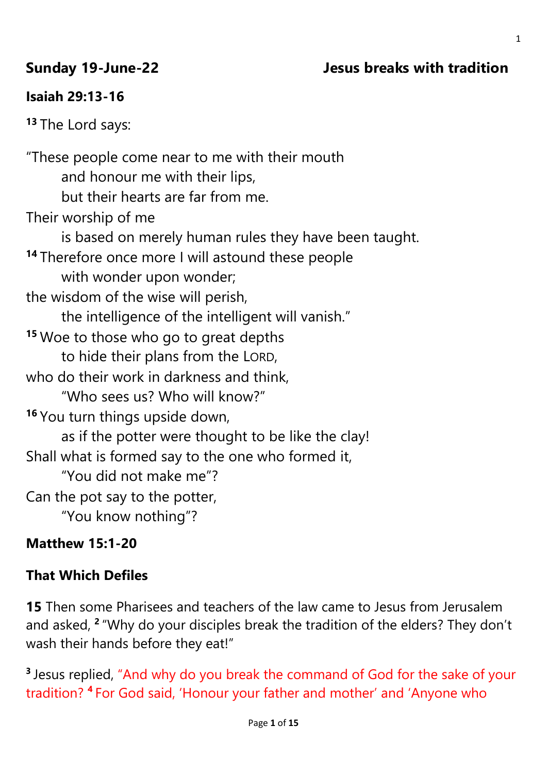# **Sunday 19-June-22 Jesus breaks with tradition**

# **Isaiah 29:13-16**

**<sup>13</sup>** The Lord says:

"These people come near to me with their mouth and honour me with their lips, but their hearts are far from me. Their worship of me is based on merely human rules they have been taught. **<sup>14</sup>** Therefore once more I will astound these people with wonder upon wonder; the wisdom of the wise will perish, the intelligence of the intelligent will vanish." **<sup>15</sup>** Woe to those who go to great depths to hide their plans from the LORD, who do their work in darkness and think. "Who sees us? Who will know?" **<sup>16</sup>** You turn things upside down, as if the potter were thought to be like the clay! Shall what is formed say to the one who formed it, "You did not make me"? Can the pot say to the potter, "You know nothing"?

# **Matthew 15:1-20**

# **That Which Defiles**

**15** Then some Pharisees and teachers of the law came to Jesus from Jerusalem and asked, **<sup>2</sup>** "Why do your disciples break the tradition of the elders? They don't wash their hands before they eat!"

<sup>3</sup> Jesus replied, "And why do you break the command of God for the sake of your tradition? **<sup>4</sup>** For God said, 'Honour your father and mother' and 'Anyone who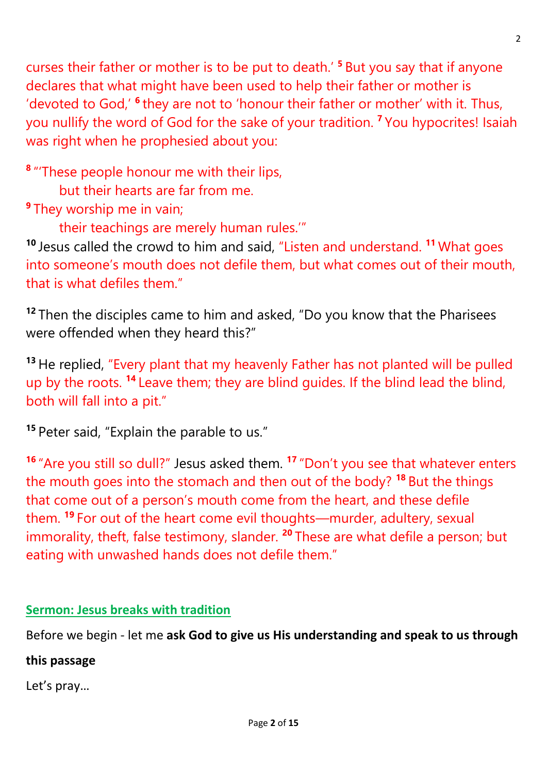curses their father or mother is to be put to death.' **<sup>5</sup>** But you say that if anyone declares that what might have been used to help their father or mother is 'devoted to God,' <sup>6</sup> they are not to 'honour their father or mother' with it. Thus, you nullify the word of God for the sake of your tradition. **<sup>7</sup>** You hypocrites! Isaiah was right when he prophesied about you:

**8** "'These people honour me with their lips,

but their hearts are far from me.

**9** They worship me in vain;

their teachings are merely human rules.'"

**<sup>10</sup>** Jesus called the crowd to him and said, "Listen and understand. **<sup>11</sup>** What goes into someone's mouth does not defile them, but what comes out of their mouth, that is what defiles them."

**<sup>12</sup>** Then the disciples came to him and asked, "Do you know that the Pharisees were offended when they heard this?"

**<sup>13</sup>** He replied, "Every plant that my heavenly Father has not planted will be pulled up by the roots. **<sup>14</sup>** Leave them; they are blind guides. If the blind lead the blind, both will fall into a pit."

**<sup>15</sup>** Peter said, "Explain the parable to us."

**<sup>16</sup>** "Are you still so dull?" Jesus asked them. **<sup>17</sup>** "Don't you see that whatever enters the mouth goes into the stomach and then out of the body? **<sup>18</sup>** But the things that come out of a person's mouth come from the heart, and these defile them. **<sup>19</sup>** For out of the heart come evil thoughts—murder, adultery, sexual immorality, theft, false testimony, slander. **<sup>20</sup>** These are what defile a person; but eating with unwashed hands does not defile them."

# **Sermon: Jesus breaks with tradition**

Before we begin - let me **ask God to give us His understanding and speak to us through** 

## **this passage**

Let's pray…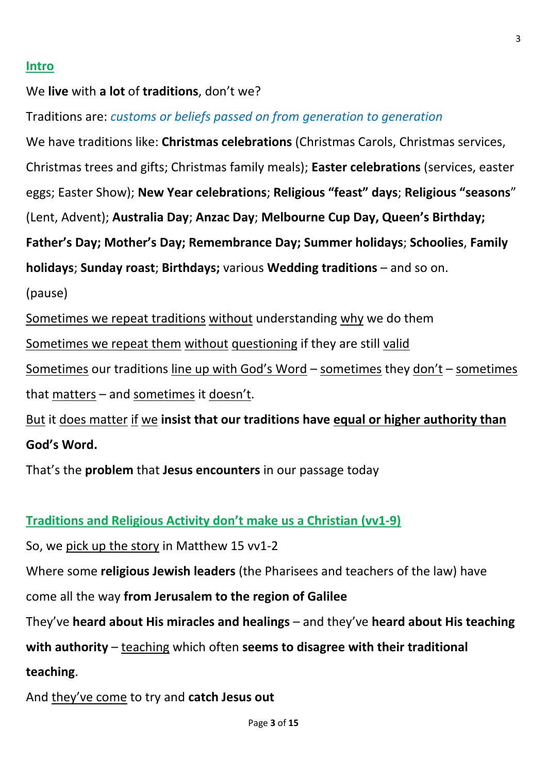### **Intro**

### We **live** with **a lot** of **traditions**, don't we?

Traditions are: *customs or beliefs passed on from generation to generation*

We have traditions like: **Christmas celebrations** (Christmas Carols, Christmas services, Christmas trees and gifts; Christmas family meals); **Easter celebrations** (services, easter eggs; Easter Show); **New Year celebrations**; **Religious "feast" days**; **Religious "seasons**" (Lent, Advent); **Australia Day**; **Anzac Day**; **Melbourne Cup Day, Queen's Birthday; Father's Day; Mother's Day; Remembrance Day; Summer holidays**; **Schoolies**, **Family holidays**; **Sunday roast**; **Birthdays;** various **Wedding traditions** – and so on.

(pause)

Sometimes we repeat traditions without understanding why we do them

Sometimes we repeat them without questioning if they are still valid

Sometimes our traditions line up with God's Word – sometimes they don't – sometimes that matters – and sometimes it doesn't.

But it does matter if we **insist that our traditions have equal or higher authority than God's Word.**

That's the **problem** that **Jesus encounters** in our passage today

### **Traditions and Religious Activity don't make us a Christian (vv1-9)**

So, we pick up the story in Matthew 15 vv1-2

Where some **religious Jewish leaders** (the Pharisees and teachers of the law) have

come all the way **from Jerusalem to the region of Galilee**

They've **heard about His miracles and healings** – and they've **heard about His teaching** 

**with authority** – teaching which often **seems to disagree with their traditional** 

**teaching**.

And they've come to try and **catch Jesus out**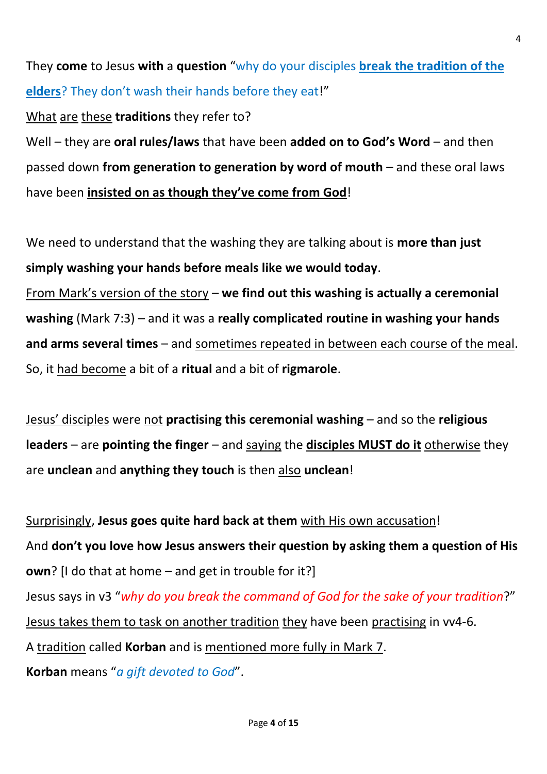They **come** to Jesus **with** a **question** "why do your disciples **break the tradition of the elders**? They don't wash their hands before they eat!"

What are these **traditions** they refer to?

Well – they are **oral rules/laws** that have been **added on to God's Word** – and then passed down **from generation to generation by word of mouth** – and these oral laws have been **insisted on as though they've come from God**!

We need to understand that the washing they are talking about is **more than just simply washing your hands before meals like we would today**. From Mark's version of the story – **we find out this washing is actually a ceremonial** 

**washing** (Mark 7:3) – and it was a **really complicated routine in washing your hands and arms several times** – and sometimes repeated in between each course of the meal. So, it had become a bit of a **ritual** and a bit of **rigmarole**.

Jesus' disciples were not **practising this ceremonial washing** – and so the **religious leaders** – are **pointing the finger** – and saying the **disciples MUST do it** otherwise they are **unclean** and **anything they touch** is then also **unclean**!

Surprisingly, **Jesus goes quite hard back at them** with His own accusation! And **don't you love how Jesus answers their question by asking them a question of His own**? [I do that at home – and get in trouble for it?] Jesus says in v3 "*why do you break the command of God for the sake of your tradition*?" Jesus takes them to task on another tradition they have been practising in vv4-6. A tradition called **Korban** and is mentioned more fully in Mark 7. **Korban** means "*a gift devoted to God*".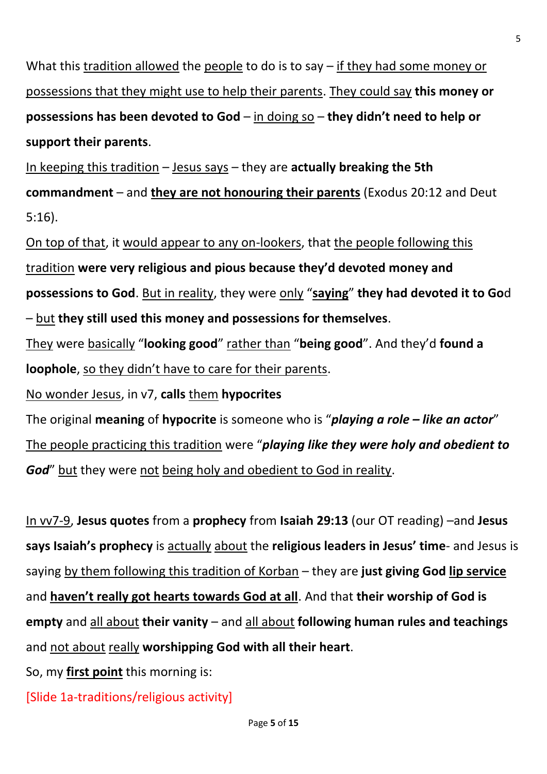What this tradition allowed the people to do is to say – if they had some money or possessions that they might use to help their parents. They could say **this money or possessions has been devoted to God** – in doing so – **they didn't need to help or support their parents**.

In keeping this tradition – Jesus says – they are **actually breaking the 5th commandment** – and **they are not honouring their parents** (Exodus 20:12 and Deut 5:16).

On top of that, it would appear to any on-lookers, that the people following this tradition **were very religious and pious because they'd devoted money and possessions to God**. But in reality, they were only "**saying**" **they had devoted it to Go**d – but **they still used this money and possessions for themselves**.

They were basically "**looking good**" rather than "**being good**". And they'd **found a loophole**, so they didn't have to care for their parents.

No wonder Jesus, in v7, **calls** them **hypocrites**

The original **meaning** of **hypocrite** is someone who is "*playing a role – like an actor*" The people practicing this tradition were "*playing like they were holy and obedient to God*" but they were not being holy and obedient to God in reality.

In vv7-9, **Jesus quotes** from a **prophecy** from **Isaiah 29:13** (our OT reading) –and **Jesus says Isaiah's prophecy** is actually about the **religious leaders in Jesus' time**- and Jesus is saying by them following this tradition of Korban – they are **just giving God lip service** and **haven't really got hearts towards God at all**. And that **their worship of God is empty** and all about **their vanity** – and all about **following human rules and teachings** and not about really **worshipping God with all their heart**.

So, my **first point** this morning is:

[Slide 1a-traditions/religious activity]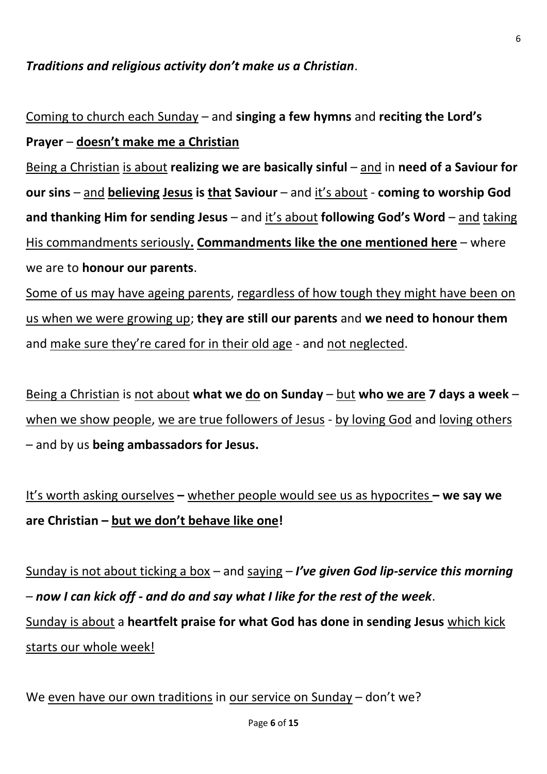## *Traditions and religious activity don't make us a Christian*.

Coming to church each Sunday – and **singing a few hymns** and **reciting the Lord's Prayer** – **doesn't make me a Christian**

Being a Christian is about **realizing we are basically sinful** – and in **need of a Saviour for our sins** – and **believing Jesus is that Saviour** – and it's about - **coming to worship God and thanking Him for sending Jesus** – and it's about **following God's Word** – and taking His commandments seriously**. Commandments like the one mentioned here** – where we are to **honour our parents**.

Some of us may have ageing parents, regardless of how tough they might have been on us when we were growing up; **they are still our parents** and **we need to honour them**  and make sure they're cared for in their old age - and not neglected.

Being a Christian is not about **what we do on Sunday** – but **who we are 7 days a week** – when we show people, we are true followers of Jesus - by loving God and loving others – and by us **being ambassadors for Jesus.**

```
It's worth asking ourselves – whether people would see us as hypocrites – we say we 
are Christian – but we don't behave like one!
```
Sunday is not about ticking a box – and saying – *I've given God lip-service this morning* – *now I can kick off - and do and say what I like for the rest of the week*. Sunday is about a **heartfelt praise for what God has done in sending Jesus** which kick starts our whole week!

We even have our own traditions in our service on Sunday – don't we?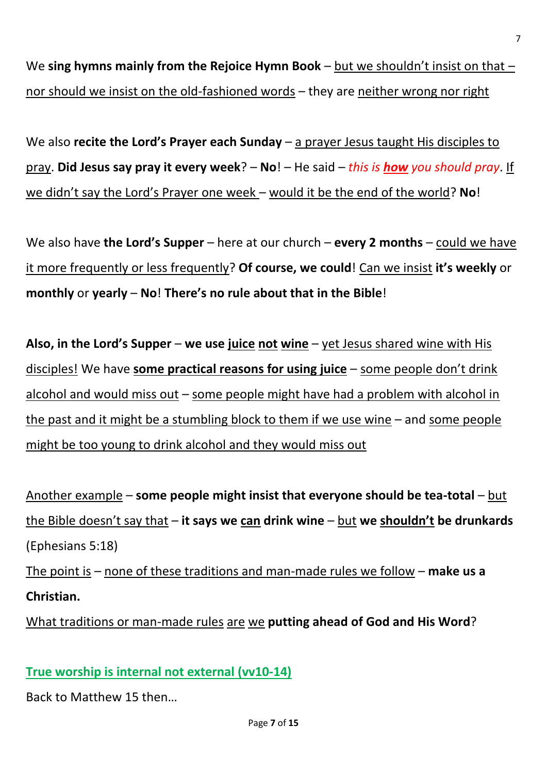We **sing hymns mainly from the Rejoice Hymn Book** – but we shouldn't insist on that – nor should we insist on the old-fashioned words – they are neither wrong nor right

We also **recite the Lord's Prayer each Sunday** – a prayer Jesus taught His disciples to pray. **Did Jesus say pray it every week**? – **No**! – He said – *this is how you should pray*. If we didn't say the Lord's Prayer one week – would it be the end of the world? **No**!

We also have **the Lord's Supper** – here at our church – **every 2 months** – could we have it more frequently or less frequently? **Of course, we could**! Can we insist **it's weekly** or **monthly** or **yearly** – **No**! **There's no rule about that in the Bible**!

**Also, in the Lord's Supper** – **we use juice not wine** – yet Jesus shared wine with His disciples! We have **some practical reasons for using juice** – some people don't drink alcohol and would miss out – some people might have had a problem with alcohol in the past and it might be a stumbling block to them if we use wine – and some people might be too young to drink alcohol and they would miss out

Another example – **some people might insist that everyone should be tea-total** – but the Bible doesn't say that – **it says we can drink wine** – but **we shouldn't be drunkards**  (Ephesians 5:18)

The point is – none of these traditions and man-made rules we follow – **make us a Christian.**

What traditions or man-made rules are we **putting ahead of God and His Word**?

# **True worship is internal not external (vv10-14)**

Back to Matthew 15 then…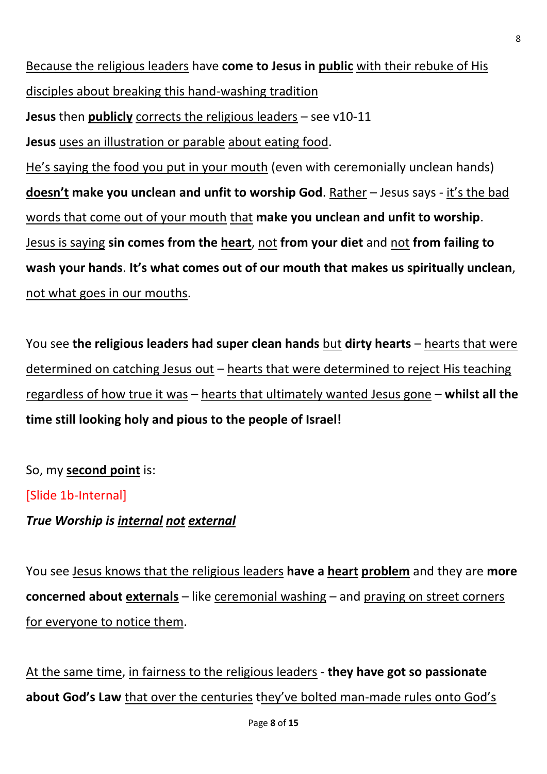Because the religious leaders have **come to Jesus in public** with their rebuke of His disciples about breaking this hand-washing tradition

**Jesus** then **publicly** corrects the religious leaders – see v10-11

**Jesus** uses an illustration or parable about eating food.

He's saying the food you put in your mouth (even with ceremonially unclean hands) **doesn't make you unclean and unfit to worship God**. Rather – Jesus says - it's the bad words that come out of your mouth that **make you unclean and unfit to worship**. Jesus is saying **sin comes from the heart**, not **from your diet** and not **from failing to wash your hands**. **It's what comes out of our mouth that makes us spiritually unclean**, not what goes in our mouths.

You see the religious leaders had super clean hands but dirty hearts – hearts that were determined on catching Jesus out – hearts that were determined to reject His teaching regardless of how true it was – hearts that ultimately wanted Jesus gone – **whilst all the time still looking holy and pious to the people of Israel!**

So, my **second point** is: [Slide 1b-Internal] *True Worship is internal not external*

You see Jesus knows that the religious leaders **have a heart problem** and they are **more concerned about externals** – like ceremonial washing – and praying on street corners for everyone to notice them.

At the same time, in fairness to the religious leaders - **they have got so passionate about God's Law** that over the centuries they've bolted man-made rules onto God's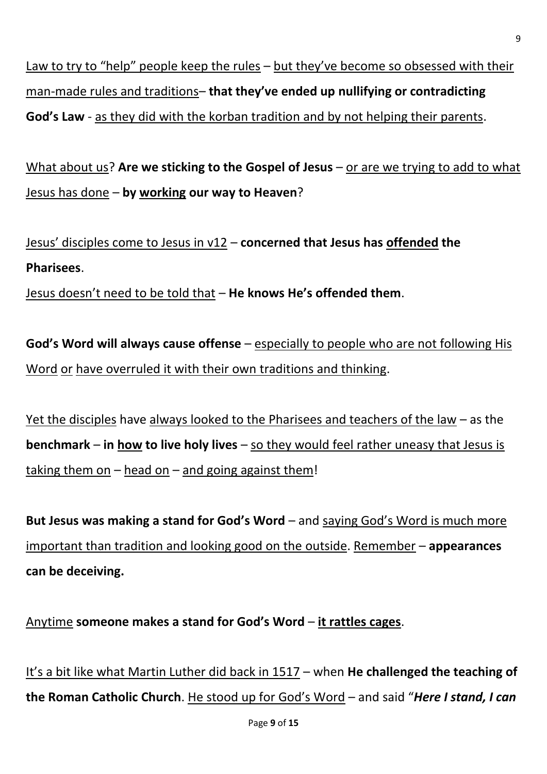Law to try to "help" people keep the rules – but they've become so obsessed with their man-made rules and traditions– **that they've ended up nullifying or contradicting God's Law** - as they did with the korban tradition and by not helping their parents.

What about us? **Are we sticking to the Gospel of Jesus** – or are we trying to add to what Jesus has done – **by working our way to Heaven**?

Jesus' disciples come to Jesus in v12 – **concerned that Jesus has offended the Pharisees**.

Jesus doesn't need to be told that – **He knows He's offended them**.

**God's Word will always cause offense** – especially to people who are not following His Word or have overruled it with their own traditions and thinking.

Yet the disciples have always looked to the Pharisees and teachers of the law – as the **benchmark** – **in how to live holy lives** – so they would feel rather uneasy that Jesus is taking them on  $-$  head on  $-$  and going against them!

**But Jesus was making a stand for God's Word** – and saying God's Word is much more important than tradition and looking good on the outside. Remember – **appearances can be deceiving.**

Anytime **someone makes a stand for God's Word** – **it rattles cages**.

It's a bit like what Martin Luther did back in 1517 – when **He challenged the teaching of the Roman Catholic Church**. He stood up for God's Word – and said "*Here I stand, I can*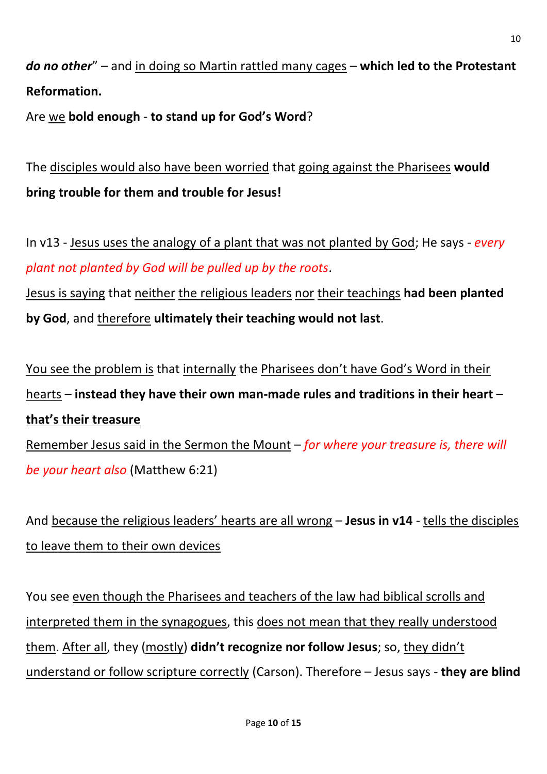# *do no other*" – and in doing so Martin rattled many cages – **which led to the Protestant Reformation.**

Are we **bold enough** - **to stand up for God's Word**?

The disciples would also have been worried that going against the Pharisees **would bring trouble for them and trouble for Jesus!**

In v13 - Jesus uses the analogy of a plant that was not planted by God; He says - *every plant not planted by God will be pulled up by the roots*.

Jesus is saying that neither the religious leaders nor their teachings **had been planted by God**, and therefore **ultimately their teaching would not last**.

You see the problem is that internally the Pharisees don't have God's Word in their hearts – **instead they have their own man-made rules and traditions in their heart** – **that's their treasure**

Remember Jesus said in the Sermon the Mount – *for where your treasure is, there will be your heart also* (Matthew 6:21)

And because the religious leaders' hearts are all wrong – **Jesus in v14** - tells the disciples to leave them to their own devices

You see even though the Pharisees and teachers of the law had biblical scrolls and interpreted them in the synagogues, this does not mean that they really understood them. After all, they (mostly) **didn't recognize nor follow Jesus**; so, they didn't understand or follow scripture correctly (Carson). Therefore – Jesus says - **they are blind**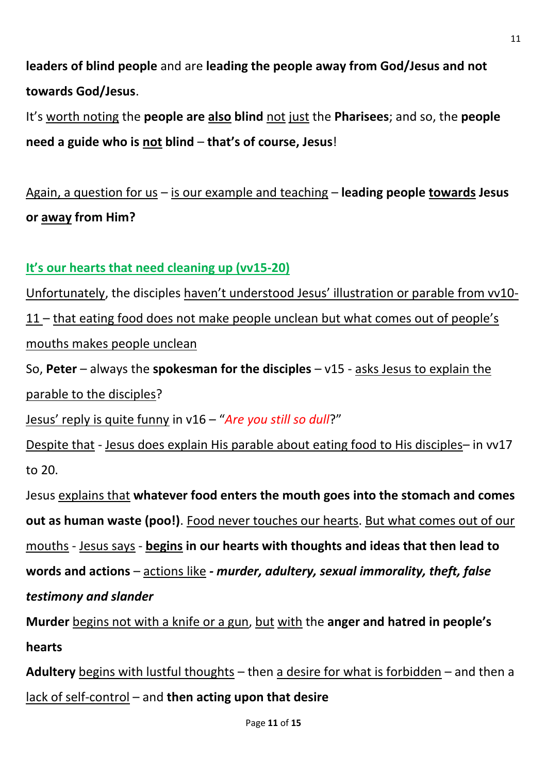**leaders of blind people** and are **leading the people away from God/Jesus and not towards God/Jesus**.

It's worth noting the **people are also blind** not just the **Pharisees**; and so, the **people need a guide who is not blind** – **that's of course, Jesus**!

Again, a question for us – is our example and teaching – **leading people towards Jesus or away from Him?**

## **It's our hearts that need cleaning up (vv15-20)**

Unfortunately, the disciples haven't understood Jesus' illustration or parable from vv10- 11 – that eating food does not make people unclean but what comes out of people's mouths makes people unclean So, **Peter** – always the **spokesman for the disciples** – v15 - asks Jesus to explain the parable to the disciples? Jesus' reply is quite funny in v16 – "*Are you still so dull*?"

Despite that - Jesus does explain His parable about eating food to His disciples– in vv17 to 20.

Jesus explains that **whatever food enters the mouth goes into the stomach and comes out as human waste (poo!)**. Food never touches our hearts. But what comes out of our mouths - Jesus says - **begins in our hearts with thoughts and ideas that then lead to words and actions** – actions like *- murder, adultery, sexual immorality, theft, false testimony and slander* 

**Murder** begins not with a knife or a gun, but with the **anger and hatred in people's hearts**

**Adultery** begins with lustful thoughts – then a desire for what is forbidden – and then a lack of self-control – and **then acting upon that desire**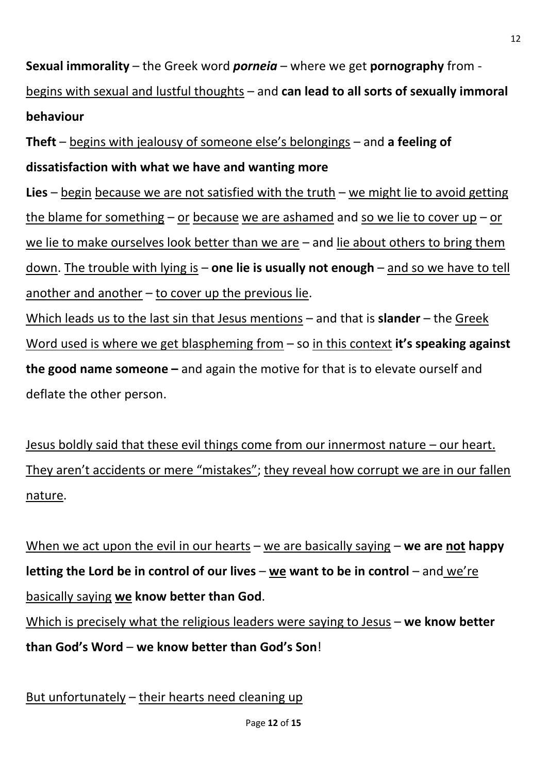**Sexual immorality** – the Greek word *porneia* – where we get **pornography** from begins with sexual and lustful thoughts – and **can lead to all sorts of sexually immoral behaviour**

**Theft** – begins with jealousy of someone else's belongings – and **a feeling of dissatisfaction with what we have and wanting more** 

**Lies** – begin because we are not satisfied with the truth – we might lie to avoid getting the blame for something – or because we are ashamed and so we lie to cover up – or we lie to make ourselves look better than we are – and lie about others to bring them down. The trouble with lying is – **one lie is usually not enough** – and so we have to tell another and another  $-$  to cover up the previous lie.

Which leads us to the last sin that Jesus mentions – and that is **slander** – the Greek Word used is where we get blaspheming from – so in this context **it's speaking against the good name someone –** and again the motive for that is to elevate ourself and deflate the other person.

Jesus boldly said that these evil things come from our innermost nature – our heart. They aren't accidents or mere "mistakes"; they reveal how corrupt we are in our fallen nature.

When we act upon the evil in our hearts – we are basically saying – **we are not happy letting the Lord be in control of our lives** – **we want to be in control** – and we're basically saying **we know better than God**. Which is precisely what the religious leaders were saying to Jesus – **we know better than God's Word** – **we know better than God's Son**!

But unfortunately – their hearts need cleaning up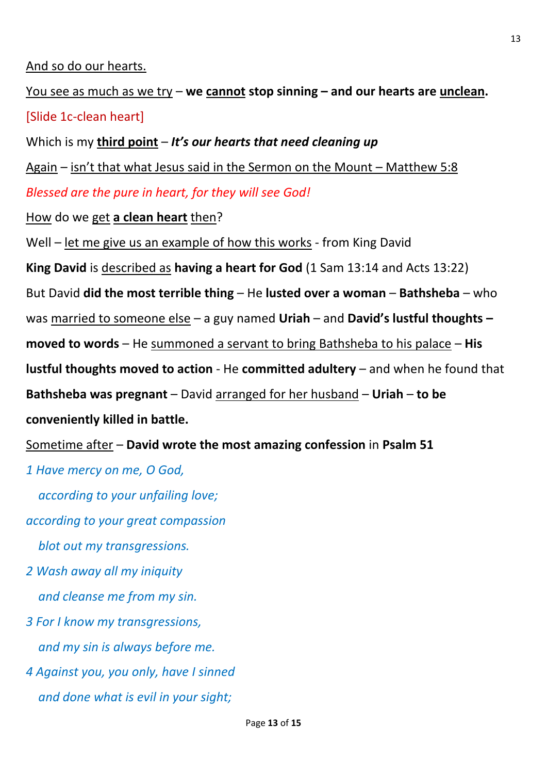### And so do our hearts.

You see as much as we try – **we cannot stop sinning – and our hearts are unclean.** [Slide 1c-clean heart]

Which is my **third point** – *It's our hearts that need cleaning up*

Again – isn't that what Jesus said in the Sermon on the Mount – Matthew 5:8

*Blessed are the pure in heart, for they will see God!*

How do we get **a clean heart** then?

Well – let me give us an example of how this works - from King David

**King David** is described as **having a heart for God** (1 Sam 13:14 and Acts 13:22)

But David **did the most terrible thing** – He **lusted over a woman** – **Bathsheba** – who

was married to someone else – a guy named **Uriah** – and **David's lustful thoughts –**

**moved to words** – He summoned a servant to bring Bathsheba to his palace – **His** 

**lustful thoughts moved to action** - He **committed adultery** – and when he found that

**Bathsheba was pregnant** – David arranged for her husband – **Uriah** – **to be** 

**conveniently killed in battle.** 

Sometime after – **David wrote the most amazing confession** in **Psalm 51**

*1 Have mercy on me, O God,*

 *according to your unfailing love;*

*according to your great compassion*

 *blot out my transgressions.*

- *2 Wash away all my iniquity and cleanse me from my sin.*
- *3 For I know my transgressions, and my sin is always before me.*
- *4 Against you, you only, have I sinned and done what is evil in your sight;*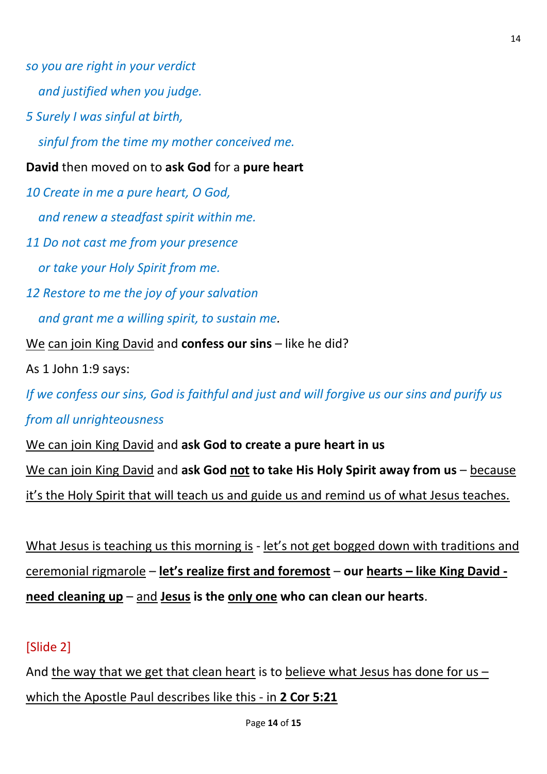*so you are right in your verdict*

 *and justified when you judge.*

*5 Surely I was sinful at birth,*

 *sinful from the time my mother conceived me.*

**David** then moved on to **ask God** for a **pure heart**

*10 Create in me a pure heart, O God,*

 *and renew a steadfast spirit within me.*

*11 Do not cast me from your presence*

 *or take your Holy Spirit from me.*

*12 Restore to me the joy of your salvation*

 *and grant me a willing spirit, to sustain me.*

We can join King David and **confess our sins** – like he did?

As 1 John 1:9 says:

*If we confess our sins, God is faithful and just and will forgive us our sins and purify us* 

*from all unrighteousness*

We can join King David and **ask God to create a pure heart in us**

We can join King David and **ask God not to take His Holy Spirit away from us** – because

it's the Holy Spirit that will teach us and guide us and remind us of what Jesus teaches.

What Jesus is teaching us this morning is - let's not get bogged down with traditions and ceremonial rigmarole – **let's realize first and foremost** – **our hearts – like King David need cleaning up** – and **Jesus is the only one who can clean our hearts**.

# [Slide 2]

And the way that we get that clean heart is to believe what Jesus has done for us – which the Apostle Paul describes like this - in **2 Cor 5:21**